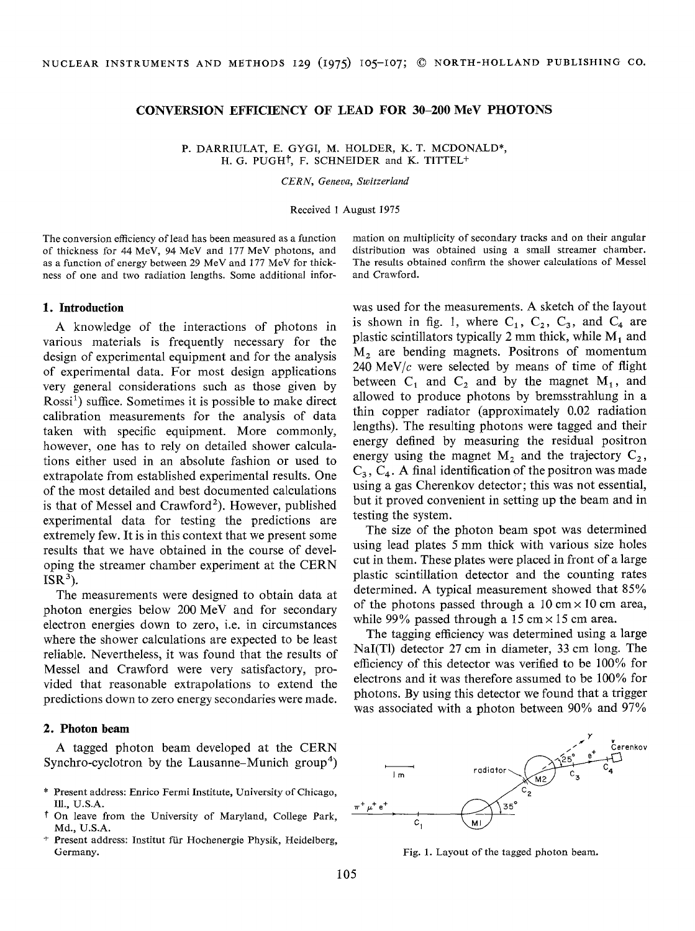# **CONVERSION EFFICIENCY OF LEAD FOR 30-200 MeV PHOTONS**

P. DARRIULAT, E. GYG[, M. HOLDER, K.T. MCDONALD\*, H. G. PUGH<sup>†</sup>, F. SCHNEIDER and K. TITTEL<sup>+</sup>

*CERN, Geneva, Switzerland* 

Received 1 August 1975

The conversion efficiency of lead has been measured as a function of thickness for 44 MeV, 94 MeV and 177 MeV photons, and as a function of energy between 29 MeV and 177 MeV for thickness of one and two radiation lengths. Some additional infor-

#### 1. **Introduction**

A knowledge of the interactions of photons in various materials is frequently necessary for the design of experimental equipment and for the analysis of experimental data. For most design applications very general considerations such as those given by  $Ross<sup>1</sup>$ ) suffice. Sometimes it is possible to make direct calibration measurements for the analysis of data taken with specific equipment. More commonly, however, one has to rely on detailed shower calculations either used in an absolute fashion or used to extrapolate from established experimental results. One of the most detailed and best documented calculations is that of Messel and Crawford<sup>2</sup>). However, published experimental data for testing the predictions are extremely few. It is in this context that we present some results that we have obtained in the course of developing the streamer chamber experiment at the CERN  $ISR<sup>3</sup>$ ).

The measurements were designed to obtain data at photon energies below 200 MeV and for secondary electron energies down to zero, i.e. in circumstances where the shower calculations are expected to be least reliable. Nevertheless, it was found that the results of Messel and Crawford were very satisfactory, provided that reasonable extrapolations to extend the predictions down to zero energy secondaries were made.

### **2. Photon beam**

A tagged photon beam developed at the CERN Synchro-cyclotron by the Lausanne-Munich group<sup>4</sup>)

- \* Present address: Enrico Fermi Institute, University of Chicago, Ill., U.S.A.
- t On leave from the University of Maryland, College Park, Md., U.S.A.
- <sup>+</sup> Present address: Institut für Hochenergie Physik, Heidelberg, Germany.

mation on multiplicity of secondary tracks and on their angular distribution was obtained using a small streamer chamber. The results obtained confirm the shower calculations of Messel and Crawford.

was used for the measurements. A sketch of the layout is shown in fig. 1, where  $C_1$ ,  $C_2$ ,  $C_3$ , and  $C_4$  are plastic scintillators typically 2 mm thick, while  $M_1$  and Mz are bending magnets. Positrons of momentum 240 MeV/ $c$  were selected by means of time of flight between  $C_1$  and  $C_2$  and by the magnet  $M_1$ , and allowed to produce photons by bremsstrahlung in a thin copper radiator (approximately 0.02 radiation lengths). The resulting photons were tagged and their energy defined by measuring the residual positron energy using the magnet  $M_2$  and the trajectory  $C_2$ ,  $C_3$ ,  $C_4$ . A final identification of the positron was made using a gas Cherenkov detector; this was not essential, but it proved convenient in setting up the beam and in testing the system.

The size of the photon beam spot was determined using lead plates 5 mm thick with various size holes cut in them. These plates were placed in front of a large plastic scintillation detector and the counting rates determined. A typical measurement showed that 85% of the photons passed through a 10 cm  $\times$  10 cm area, while 99% passed through a 15 cm  $\times$  15 cm area.

The tagging efficiency was determined using a large NaI(T1) detector 27 cm in diameter, 33 cm long. The efficiency of this detector was verified to be 100% for electrons and it was therefore assumed to be 100% for photons. By using this detector we found that a trigger was associated with a photon between 90% and 97%



Fig. 1. Layout of the tagged photon beam.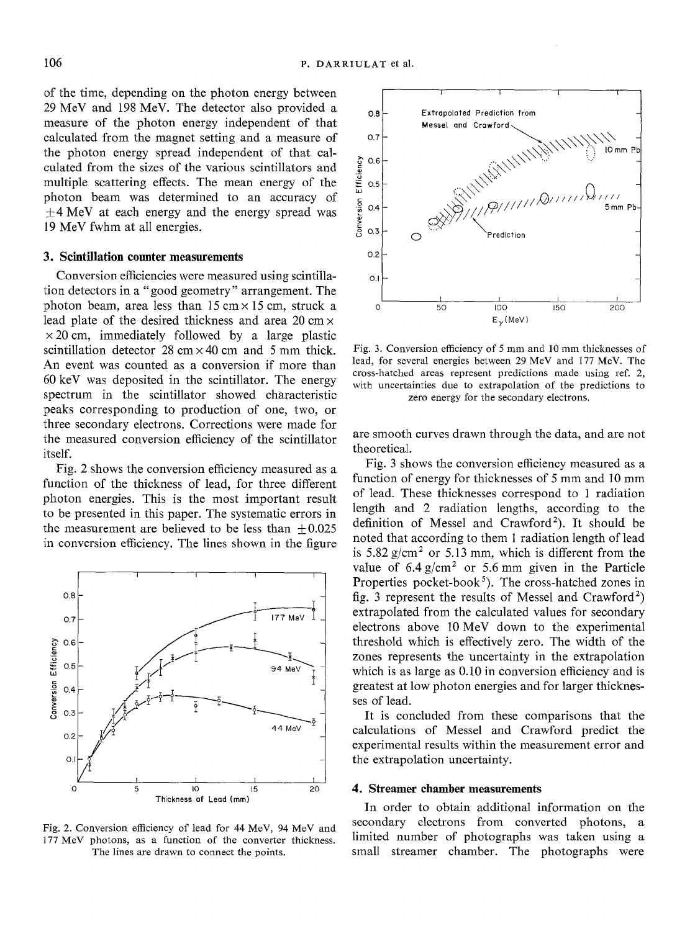of the time, depending on the photon energy between 29 MeV and 198 MeV. The detector also provided a  $_{0.8}$ measure of the photon energy independent of that calculated from the magnet setting and a measure of o.7 the photon energy spread independent of that calculated from the sizes of the various scintillators and multiple scattering effects. The mean energy of the photon beam was determined to an accuracy of  $\pm$ 4 MeV at each energy and the energy spread was 19 MeV fwhm at all energies.

## **3. Scintillation counter measurements**

Conversion efficiencies were measured using scintillation detectors in a *"good* geometry" arrangement. The photon beam, area less than  $15 \text{ cm} \times 15 \text{ cm}$ , struck a lead plate of the desired thickness and area  $20 \text{ cm} \times$  $\times$  20 cm, immediately followed by a large plastic scintillation detector  $28 \text{ cm} \times 40 \text{ cm}$  and 5 mm thick. An event was counted as a conversion if more than 60 keV was deposited in the scintillator. The energy spectrum in the scintillator showed characteristic peaks corresponding to production of one, two, or three secondary electrons. Corrections were made for the measured conversion efficiency of the scintillator itself.

Fig. 2 shows the conversion efficiency measured as a function of the thickness of lead, for three different photon energies. This is the most important result to be presented in this paper. The systematic errors in the measurement are believed to be less than  $+0.025$ in conversion efficiency. The lines shown in the figure



Fig. 2. Conversion efficiency of lead for 44 MeV, 94 MeV and 177 MeV photons, as a function of the converter thickness. The lines are drawn to connect the points.



Fig. 3. Conversion efficiency of 5 mm and 10 mm thicknesses of lead, for several energies between 29 MeV and 177 MeV. The cross-hatched areas represent predictions made using ref. 2, with uncertainties due to extrapolation of the predictions to zero energy for the secondary electrons.

are smooth curves drawn through the data, and are not theoretical.

Fig. 3 shows the conversion efficiency measured as a function of energy for thicknesses of 5 mm and 10 mm of lead. These thicknesses correspond to 1 radiation length and 2 radiation lengths, according to the definition of Messel and Crawford<sup>2</sup>). It should be noted that according to them 1 radiation length of lead is  $5.82$  g/cm<sup>2</sup> or  $5.\overline{13}$  mm, which is different from the value of  $6.4$  g/cm<sup>2</sup> or 5.6 mm given in the Particle Properties pocket-book<sup>5</sup>). The cross-hatched zones in fig. 3 represent the results of Messel and Crawford<sup>2</sup>) extrapolated from the calculated values for secondary electrons above 10 MeV down to the experimental threshold which is effectively zero. The width of the zones represents the uncertainty in the extrapolation which is as large as 0.10 in conversion efficiency and is greatest at low photon energies and for larger thicknesses of lead.

It is concluded from these comparisons that the calculations of Messel and Crawford predict the experimental results within the measurement error and the extrapolation uncertainty.

### **4. Streamer chamber measurements**

In order to obtain additional information on the secondary electrons from converted photons, a limited number of photographs was taken using a small streamer chamber. The photographs were